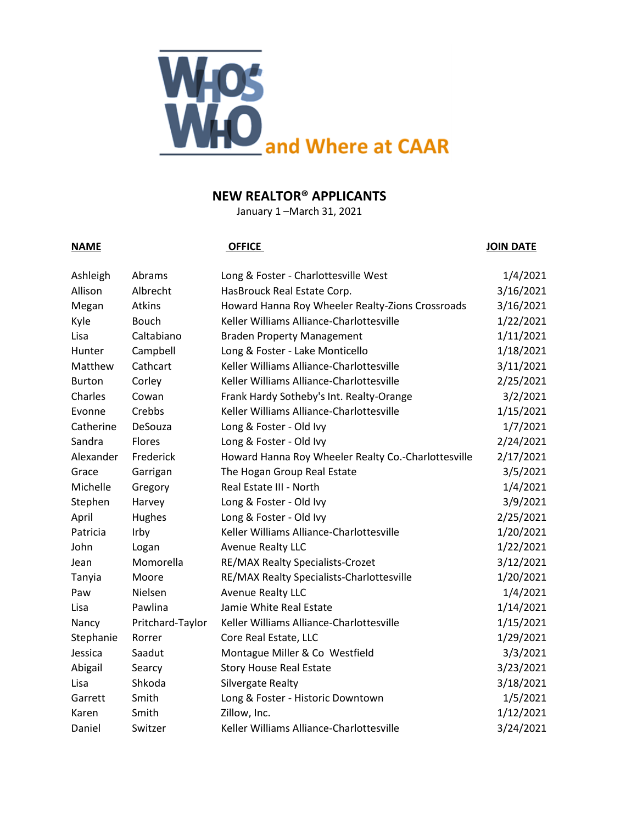

# **NEW REALTOR® APPLICANTS**

January 1 –March 31, 2021

### **NAME OFFICE JOIN DATE**

| Ashleigh      | Abrams           | Long & Foster - Charlottesville West                | 1/4/2021  |
|---------------|------------------|-----------------------------------------------------|-----------|
| Allison       | Albrecht         | HasBrouck Real Estate Corp.                         | 3/16/2021 |
| Megan         | Atkins           | Howard Hanna Roy Wheeler Realty-Zions Crossroads    | 3/16/2021 |
| Kyle          | Bouch            | Keller Williams Alliance-Charlottesville            | 1/22/2021 |
| Lisa          | Caltabiano       | <b>Braden Property Management</b>                   | 1/11/2021 |
| Hunter        | Campbell         | Long & Foster - Lake Monticello                     | 1/18/2021 |
| Matthew       | Cathcart         | Keller Williams Alliance-Charlottesville            | 3/11/2021 |
| <b>Burton</b> | Corley           | Keller Williams Alliance-Charlottesville            | 2/25/2021 |
| Charles       | Cowan            | Frank Hardy Sotheby's Int. Realty-Orange            | 3/2/2021  |
| Evonne        | Crebbs           | Keller Williams Alliance-Charlottesville            | 1/15/2021 |
| Catherine     | DeSouza          | Long & Foster - Old Ivy                             | 1/7/2021  |
| Sandra        | Flores           | Long & Foster - Old Ivy                             | 2/24/2021 |
| Alexander     | Frederick        | Howard Hanna Roy Wheeler Realty Co.-Charlottesville | 2/17/2021 |
| Grace         | Garrigan         | The Hogan Group Real Estate                         | 3/5/2021  |
| Michelle      | Gregory          | Real Estate III - North                             | 1/4/2021  |
| Stephen       | Harvey           | Long & Foster - Old Ivy                             | 3/9/2021  |
| April         | Hughes           | Long & Foster - Old Ivy                             | 2/25/2021 |
| Patricia      | Irby             | Keller Williams Alliance-Charlottesville            | 1/20/2021 |
| John          | Logan            | <b>Avenue Realty LLC</b>                            | 1/22/2021 |
| Jean          | Momorella        | RE/MAX Realty Specialists-Crozet                    | 3/12/2021 |
| Tanyia        | Moore            | RE/MAX Realty Specialists-Charlottesville           | 1/20/2021 |
| Paw           | Nielsen          | <b>Avenue Realty LLC</b>                            | 1/4/2021  |
| Lisa          | Pawlina          | Jamie White Real Estate                             | 1/14/2021 |
| Nancy         | Pritchard-Taylor | Keller Williams Alliance-Charlottesville            | 1/15/2021 |
| Stephanie     | Rorrer           | Core Real Estate, LLC                               | 1/29/2021 |
| Jessica       | Saadut           | Montague Miller & Co Westfield                      | 3/3/2021  |
| Abigail       | Searcy           | <b>Story House Real Estate</b>                      | 3/23/2021 |
| Lisa          | Shkoda           | Silvergate Realty                                   | 3/18/2021 |
| Garrett       | Smith            | Long & Foster - Historic Downtown                   | 1/5/2021  |
| Karen         | Smith            | Zillow, Inc.                                        | 1/12/2021 |
| Daniel        | Switzer          | Keller Williams Alliance-Charlottesville            | 3/24/2021 |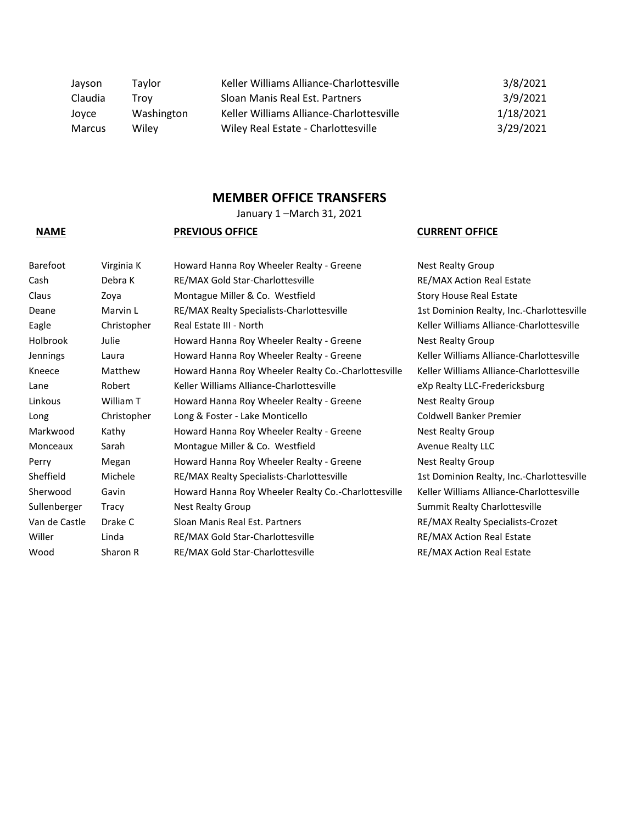| Jayson  | Tavlor     | Keller Williams Alliance-Charlottesville | 3/8/2021  |
|---------|------------|------------------------------------------|-----------|
| Claudia | Trov       | Sloan Manis Real Est. Partners           | 3/9/2021  |
| Joyce   | Washington | Keller Williams Alliance-Charlottesville | 1/18/2021 |
| Marcus  | Wilev      | Wiley Real Estate - Charlottesville      | 3/29/2021 |

## **MEMBER OFFICE TRANSFERS**

January 1 –March 31, 2021

| <b>Barefoot</b> | Virginia K  | Howard Hanna Roy Wheeler Realty - Greene            | <b>Nest Realty Group</b>          |
|-----------------|-------------|-----------------------------------------------------|-----------------------------------|
| Cash            | Debra K     | RE/MAX Gold Star-Charlottesville                    | <b>RE/MAX Action Real Estate</b>  |
| Claus           | Zoya        | Montague Miller & Co. Westfield                     | <b>Story House Real Estate</b>    |
| Deane           | Marvin L    | RE/MAX Realty Specialists-Charlottesville           | 1st Dominion Realty, Inc.-C       |
| Eagle           | Christopher | Real Estate III - North                             | Keller Williams Alliance-Cha      |
| Holbrook        | Julie       | Howard Hanna Roy Wheeler Realty - Greene            | <b>Nest Realty Group</b>          |
| <b>Jennings</b> | Laura       | Howard Hanna Roy Wheeler Realty - Greene            | Keller Williams Alliance-Cha      |
| Kneece          | Matthew     | Howard Hanna Roy Wheeler Realty Co.-Charlottesville | Keller Williams Alliance-Cha      |
| Lane            | Robert      | Keller Williams Alliance-Charlottesville            | eXp Realty LLC-Fredericksb        |
| Linkous         | William T   | Howard Hanna Roy Wheeler Realty - Greene            | <b>Nest Realty Group</b>          |
| Long            | Christopher | Long & Foster - Lake Monticello                     | Coldwell Banker Premier           |
| Markwood        | Kathy       | Howard Hanna Roy Wheeler Realty - Greene            | <b>Nest Realty Group</b>          |
| Monceaux        | Sarah       | Montague Miller & Co. Westfield                     | <b>Avenue Realty LLC</b>          |
| Perry           | Megan       | Howard Hanna Roy Wheeler Realty - Greene            | <b>Nest Realty Group</b>          |
| Sheffield       | Michele     | RE/MAX Realty Specialists-Charlottesville           | 1st Dominion Realty, Inc.-C       |
| Sherwood        | Gavin       | Howard Hanna Roy Wheeler Realty Co.-Charlottesville | Keller Williams Alliance-Cha      |
| Sullenberger    | Tracy       | <b>Nest Realty Group</b>                            | <b>Summit Realty Charlottesvi</b> |
| Van de Castle   | Drake C     | Sloan Manis Real Est. Partners                      | RE/MAX Realty Specialists-        |
| Willer          | Linda       | RE/MAX Gold Star-Charlottesville                    | <b>RE/MAX Action Real Estate</b>  |
| Wood            | Sharon R    | RE/MAX Gold Star-Charlottesville                    | <b>RE/MAX Action Real Estate</b>  |

### **NAME PREVIOUS OFFICE CURRENT OFFICE**

Realty, Inc.-Charlottesville ns Alliance-Charlottesville ns Alliance-Charlottesville ns Alliance-Charlottesville LC-Fredericksburg Realty, Inc.-Charlottesville ns Alliance-Charlottesville ty Charlottesville ty Specialists-Crozet on Real Estate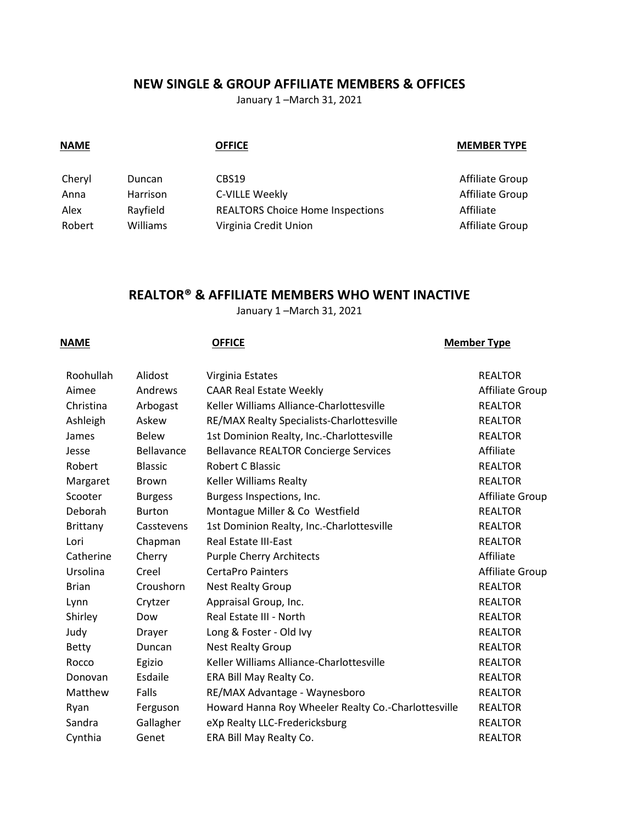# **NEW SINGLE & GROUP AFFILIATE MEMBERS & OFFICES**

January 1 –March 31, 2021

| <b>NAME</b> |                 | <b>OFFICE</b>                           | <b>MEMBER TYPE</b> |
|-------------|-----------------|-----------------------------------------|--------------------|
| Cheryl      | Duncan          | CBS19                                   | Affiliate Group    |
| Anna        | <b>Harrison</b> | C-VILLE Weekly                          | Affiliate Group    |
| Alex        | Rayfield        | <b>REALTORS Choice Home Inspections</b> | Affiliate          |
| Robert      | <b>Williams</b> | Virginia Credit Union                   | Affiliate Group    |

# **REALTOR® & AFFILIATE MEMBERS WHO WENT INACTIVE**

January 1 –March 31, 2021

### **NAME OFFICE OFFICE Member Type**

| Roohullah    | Alidost        | Virginia Estates                                    | <b>REALTOR</b>  |
|--------------|----------------|-----------------------------------------------------|-----------------|
| Aimee        | Andrews        | <b>CAAR Real Estate Weekly</b>                      | Affiliate Group |
| Christina    | Arbogast       | Keller Williams Alliance-Charlottesville            | <b>REALTOR</b>  |
| Ashleigh     | Askew          | RE/MAX Realty Specialists-Charlottesville           | <b>REALTOR</b>  |
| James        | <b>Belew</b>   | 1st Dominion Realty, Inc.-Charlottesville           | <b>REALTOR</b>  |
| Jesse        | Bellavance     | <b>Bellavance REALTOR Concierge Services</b>        | Affiliate       |
| Robert       | <b>Blassic</b> | Robert C Blassic                                    | <b>REALTOR</b>  |
| Margaret     | <b>Brown</b>   | Keller Williams Realty                              | <b>REALTOR</b>  |
| Scooter      | <b>Burgess</b> | Burgess Inspections, Inc.                           | Affiliate Group |
| Deborah      | <b>Burton</b>  | Montague Miller & Co Westfield                      | <b>REALTOR</b>  |
| Brittany     | Casstevens     | 1st Dominion Realty, Inc.-Charlottesville           | <b>REALTOR</b>  |
| Lori         | Chapman        | Real Estate III-East                                | <b>REALTOR</b>  |
| Catherine    | Cherry         | <b>Purple Cherry Architects</b>                     | Affiliate       |
| Ursolina     | Creel          | <b>CertaPro Painters</b>                            | Affiliate Group |
| <b>Brian</b> | Croushorn      | <b>Nest Realty Group</b>                            | <b>REALTOR</b>  |
| Lynn         | Crytzer        | Appraisal Group, Inc.                               | <b>REALTOR</b>  |
| Shirley      | Dow            | Real Estate III - North                             | <b>REALTOR</b>  |
| Judy         | <b>Drayer</b>  | Long & Foster - Old Ivy                             | <b>REALTOR</b>  |
| <b>Betty</b> | Duncan         | <b>Nest Realty Group</b>                            | <b>REALTOR</b>  |
| Rocco        | Egizio         | Keller Williams Alliance-Charlottesville            | <b>REALTOR</b>  |
| Donovan      | Esdaile        | ERA Bill May Realty Co.                             | <b>REALTOR</b>  |
| Matthew      | Falls          | RE/MAX Advantage - Waynesboro                       | <b>REALTOR</b>  |
| Ryan         | Ferguson       | Howard Hanna Roy Wheeler Realty Co.-Charlottesville | <b>REALTOR</b>  |
| Sandra       | Gallagher      | eXp Realty LLC-Fredericksburg                       | <b>REALTOR</b>  |
| Cynthia      | Genet          | ERA Bill May Realty Co.                             | <b>REALTOR</b>  |